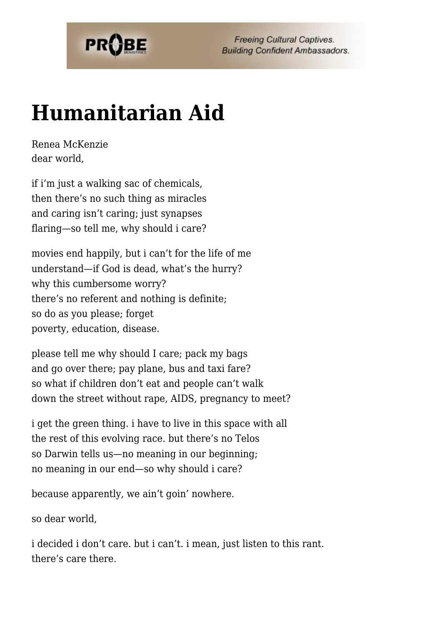

**Freeing Cultural Captives. Building Confident Ambassadors.** 

## **[Humanitarian Aid](https://probe.org/humanitarian-aid/)**

Renea McKenzie dear world,

if i'm just a walking sac of chemicals, then there's no such thing as miracles and caring isn't caring; just synapses flaring—so tell me, why should i care?

movies end happily, but i can't for the life of me understand—if God is dead, what's the hurry? why this cumbersome worry? there's no referent and nothing is definite; so do as you please; forget poverty, education, disease.

please tell me why should I care; pack my bags and go over there; pay plane, bus and taxi fare? so what if children don't eat and people can't walk down the street without rape, AIDS, pregnancy to meet?

i get the green thing. i have to live in this space with all the rest of this evolving race. but there's no Telos so Darwin tells us—no meaning in our beginning; no meaning in our end—so why should i care?

because apparently, we ain't goin' nowhere.

so dear world,

i decided i don't care. but i can't. i mean, just listen to this rant. there's care there.